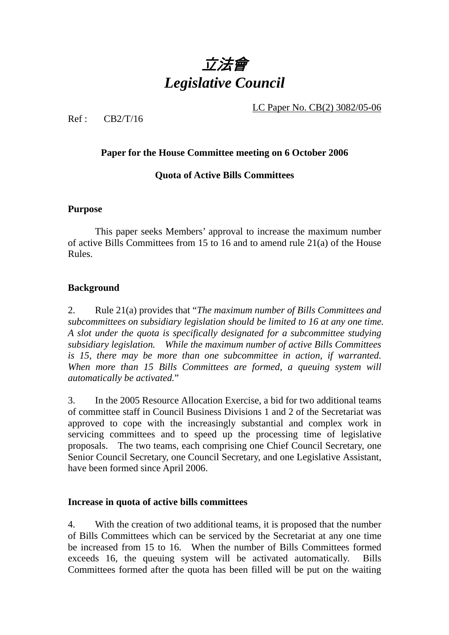

LC Paper No. CB(2) 3082/05-06

 $Ref: CR2/T/16$ 

# **Paper for the House Committee meeting on 6 October 2006**

## **Quota of Active Bills Committees**

### **Purpose**

1 This paper seeks Members' approval to increase the maximum number of active Bills Committees from 15 to 16 and to amend rule 21(a) of the House Rules.

## **Background**

2. Rule 21(a) provides that "*The maximum number of Bills Committees and subcommittees on subsidiary legislation should be limited to 16 at any one time. A slot under the quota is specifically designated for a subcommittee studying subsidiary legislation. While the maximum number of active Bills Committees is 15, there may be more than one subcommittee in action, if warranted. When more than 15 Bills Committees are formed, a queuing system will automatically be activated.*"

3. In the 2005 Resource Allocation Exercise, a bid for two additional teams of committee staff in Council Business Divisions 1 and 2 of the Secretariat was approved to cope with the increasingly substantial and complex work in servicing committees and to speed up the processing time of legislative proposals. The two teams, each comprising one Chief Council Secretary, one Senior Council Secretary, one Council Secretary, and one Legislative Assistant, have been formed since April 2006.

### **Increase in quota of active bills committees**

4. With the creation of two additional teams, it is proposed that the number of Bills Committees which can be serviced by the Secretariat at any one time be increased from 15 to 16. When the number of Bills Committees formed exceeds 16, the queuing system will be activated automatically. Bills Committees formed after the quota has been filled will be put on the waiting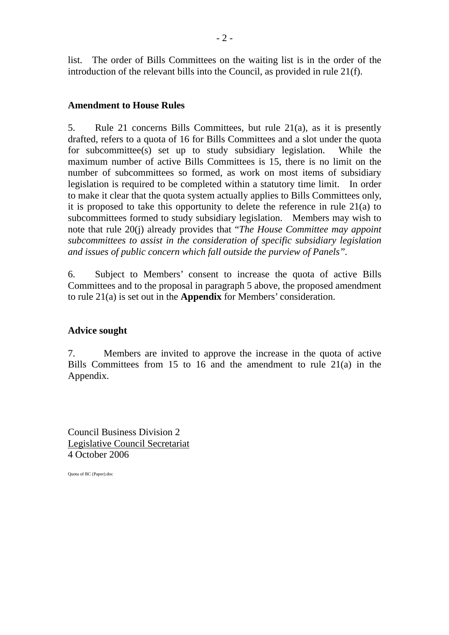list. The order of Bills Committees on the waiting list is in the order of the introduction of the relevant bills into the Council, as provided in rule 21(f).

### **Amendment to House Rules**

5. Rule 21 concerns Bills Committees, but rule 21(a), as it is presently drafted, refers to a quota of 16 for Bills Committees and a slot under the quota for subcommittee(s) set up to study subsidiary legislation. While the maximum number of active Bills Committees is 15, there is no limit on the number of subcommittees so formed, as work on most items of subsidiary legislation is required to be completed within a statutory time limit. In order to make it clear that the quota system actually applies to Bills Committees only, it is proposed to take this opportunity to delete the reference in rule 21(a) to subcommittees formed to study subsidiary legislation. Members may wish to note that rule 20(j) already provides that "*The House Committee may appoint subcommittees to assist in the consideration of specific subsidiary legislation and issues of public concern which fall outside the purview of Panels".*

6. Subject to Members' consent to increase the quota of active Bills Committees and to the proposal in paragraph 5 above, the proposed amendment to rule 21(a) is set out in the **Appendix** for Members' consideration.

### **Advice sought**

7. Members are invited to approve the increase in the quota of active Bills Committees from 15 to 16 and the amendment to rule 21(a) in the Appendix.

Council Business Division 2 Legislative Council Secretariat 4 October 2006

Quota of BC (Paper).doc